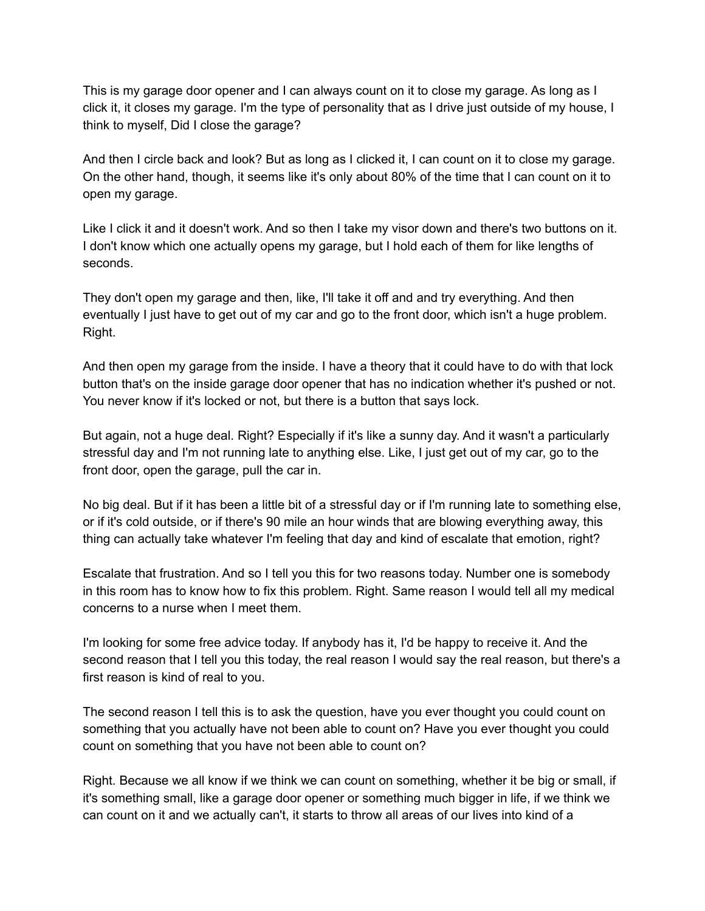This is my garage door opener and I can always count on it to close my garage. As long as I click it, it closes my garage. I'm the type of personality that as I drive just outside of my house, I think to myself, Did I close the garage?

And then I circle back and look? But as long as I clicked it, I can count on it to close my garage. On the other hand, though, it seems like it's only about 80% of the time that I can count on it to open my garage.

Like I click it and it doesn't work. And so then I take my visor down and there's two buttons on it. I don't know which one actually opens my garage, but I hold each of them for like lengths of seconds.

They don't open my garage and then, like, I'll take it off and and try everything. And then eventually I just have to get out of my car and go to the front door, which isn't a huge problem. Right.

And then open my garage from the inside. I have a theory that it could have to do with that lock button that's on the inside garage door opener that has no indication whether it's pushed or not. You never know if it's locked or not, but there is a button that says lock.

But again, not a huge deal. Right? Especially if it's like a sunny day. And it wasn't a particularly stressful day and I'm not running late to anything else. Like, I just get out of my car, go to the front door, open the garage, pull the car in.

No big deal. But if it has been a little bit of a stressful day or if I'm running late to something else, or if it's cold outside, or if there's 90 mile an hour winds that are blowing everything away, this thing can actually take whatever I'm feeling that day and kind of escalate that emotion, right?

Escalate that frustration. And so I tell you this for two reasons today. Number one is somebody in this room has to know how to fix this problem. Right. Same reason I would tell all my medical concerns to a nurse when I meet them.

I'm looking for some free advice today. If anybody has it, I'd be happy to receive it. And the second reason that I tell you this today, the real reason I would say the real reason, but there's a first reason is kind of real to you.

The second reason I tell this is to ask the question, have you ever thought you could count on something that you actually have not been able to count on? Have you ever thought you could count on something that you have not been able to count on?

Right. Because we all know if we think we can count on something, whether it be big or small, if it's something small, like a garage door opener or something much bigger in life, if we think we can count on it and we actually can't, it starts to throw all areas of our lives into kind of a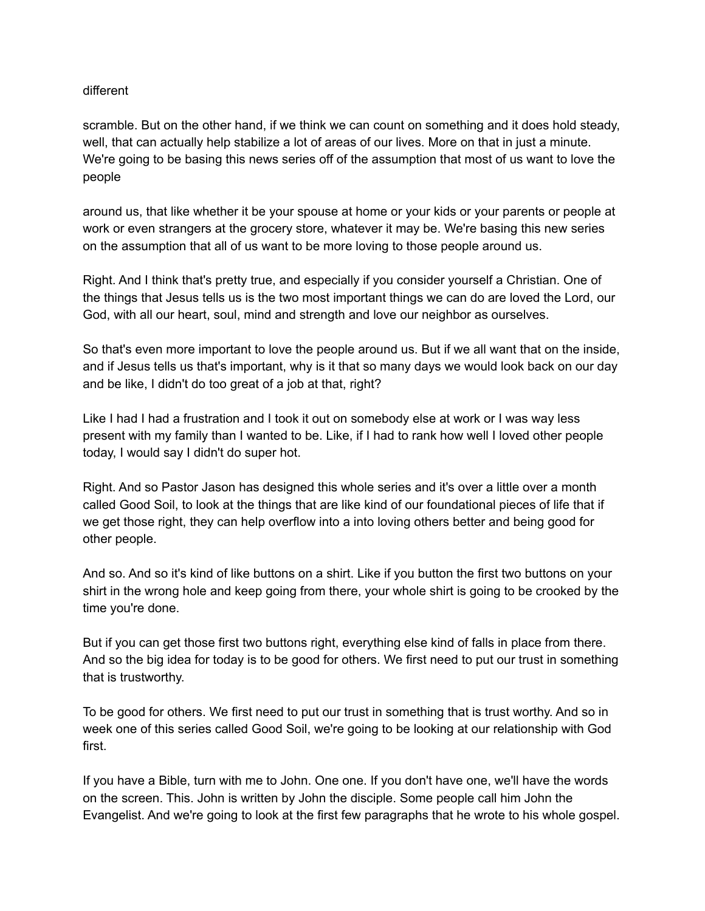## different

scramble. But on the other hand, if we think we can count on something and it does hold steady, well, that can actually help stabilize a lot of areas of our lives. More on that in just a minute. We're going to be basing this news series off of the assumption that most of us want to love the people

around us, that like whether it be your spouse at home or your kids or your parents or people at work or even strangers at the grocery store, whatever it may be. We're basing this new series on the assumption that all of us want to be more loving to those people around us.

Right. And I think that's pretty true, and especially if you consider yourself a Christian. One of the things that Jesus tells us is the two most important things we can do are loved the Lord, our God, with all our heart, soul, mind and strength and love our neighbor as ourselves.

So that's even more important to love the people around us. But if we all want that on the inside, and if Jesus tells us that's important, why is it that so many days we would look back on our day and be like, I didn't do too great of a job at that, right?

Like I had I had a frustration and I took it out on somebody else at work or I was way less present with my family than I wanted to be. Like, if I had to rank how well I loved other people today, I would say I didn't do super hot.

Right. And so Pastor Jason has designed this whole series and it's over a little over a month called Good Soil, to look at the things that are like kind of our foundational pieces of life that if we get those right, they can help overflow into a into loving others better and being good for other people.

And so. And so it's kind of like buttons on a shirt. Like if you button the first two buttons on your shirt in the wrong hole and keep going from there, your whole shirt is going to be crooked by the time you're done.

But if you can get those first two buttons right, everything else kind of falls in place from there. And so the big idea for today is to be good for others. We first need to put our trust in something that is trustworthy.

To be good for others. We first need to put our trust in something that is trust worthy. And so in week one of this series called Good Soil, we're going to be looking at our relationship with God first.

If you have a Bible, turn with me to John. One one. If you don't have one, we'll have the words on the screen. This. John is written by John the disciple. Some people call him John the Evangelist. And we're going to look at the first few paragraphs that he wrote to his whole gospel.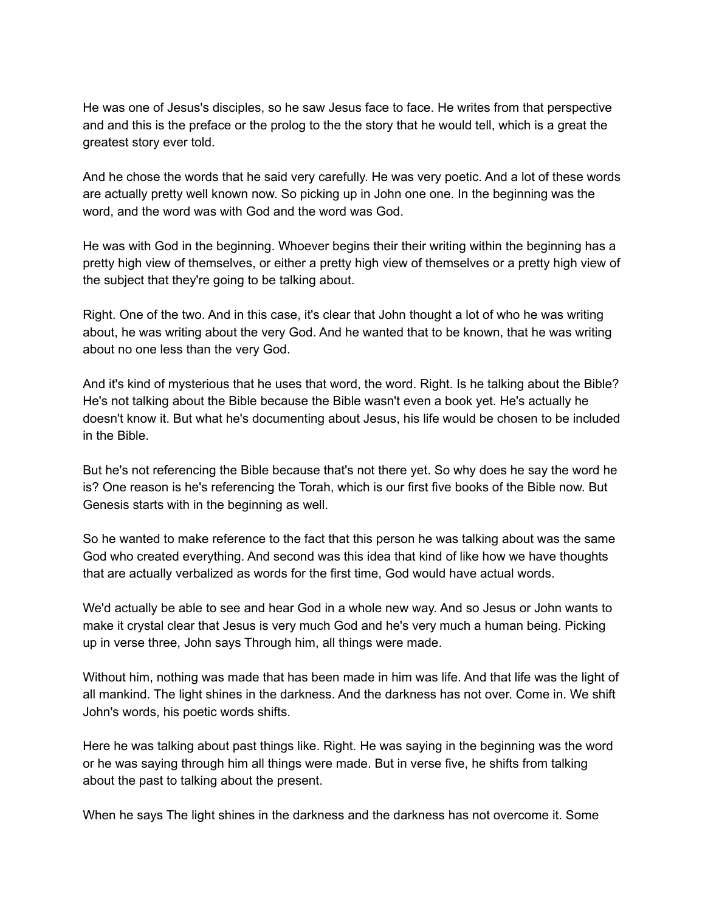He was one of Jesus's disciples, so he saw Jesus face to face. He writes from that perspective and and this is the preface or the prolog to the the story that he would tell, which is a great the greatest story ever told.

And he chose the words that he said very carefully. He was very poetic. And a lot of these words are actually pretty well known now. So picking up in John one one. In the beginning was the word, and the word was with God and the word was God.

He was with God in the beginning. Whoever begins their their writing within the beginning has a pretty high view of themselves, or either a pretty high view of themselves or a pretty high view of the subject that they're going to be talking about.

Right. One of the two. And in this case, it's clear that John thought a lot of who he was writing about, he was writing about the very God. And he wanted that to be known, that he was writing about no one less than the very God.

And it's kind of mysterious that he uses that word, the word. Right. Is he talking about the Bible? He's not talking about the Bible because the Bible wasn't even a book yet. He's actually he doesn't know it. But what he's documenting about Jesus, his life would be chosen to be included in the Bible.

But he's not referencing the Bible because that's not there yet. So why does he say the word he is? One reason is he's referencing the Torah, which is our first five books of the Bible now. But Genesis starts with in the beginning as well.

So he wanted to make reference to the fact that this person he was talking about was the same God who created everything. And second was this idea that kind of like how we have thoughts that are actually verbalized as words for the first time, God would have actual words.

We'd actually be able to see and hear God in a whole new way. And so Jesus or John wants to make it crystal clear that Jesus is very much God and he's very much a human being. Picking up in verse three, John says Through him, all things were made.

Without him, nothing was made that has been made in him was life. And that life was the light of all mankind. The light shines in the darkness. And the darkness has not over. Come in. We shift John's words, his poetic words shifts.

Here he was talking about past things like. Right. He was saying in the beginning was the word or he was saying through him all things were made. But in verse five, he shifts from talking about the past to talking about the present.

When he says The light shines in the darkness and the darkness has not overcome it. Some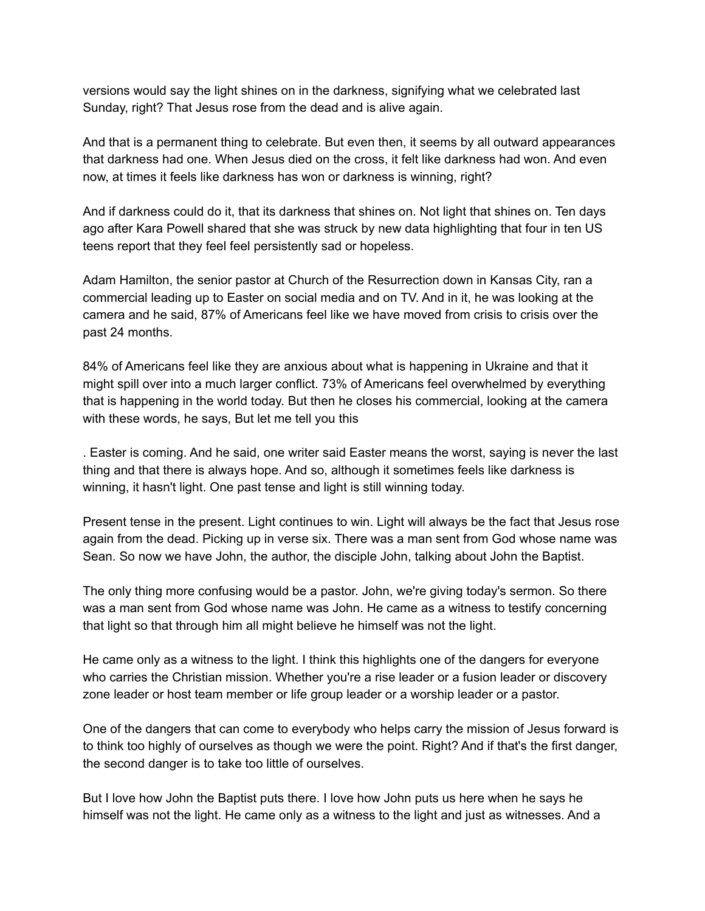versions would say the light shines on in the darkness, signifying what we celebrated last Sunday, right? That Jesus rose from the dead and is alive again.

And that is a permanent thing to celebrate. But even then, it seems by all outward appearances that darkness had one. When Jesus died on the cross, it felt like darkness had won. And even now, at times it feels like darkness has won or darkness is winning, right?

And if darkness could do it, that its darkness that shines on. Not light that shines on. Ten days ago after Kara Powell shared that she was struck by new data highlighting that four in ten US teens report that they feel feel persistently sad or hopeless.

Adam Hamilton, the senior pastor at Church of the Resurrection down in Kansas City, ran a commercial leading up to Easter on social media and on TV. And in it, he was looking at the camera and he said, 87% of Americans feel like we have moved from crisis to crisis over the past 24 months.

84% of Americans feel like they are anxious about what is happening in Ukraine and that it might spill over into a much larger conflict. 73% of Americans feel overwhelmed by everything that is happening in the world today. But then he closes his commercial, looking at the camera with these words, he says, But let me tell you this

. Easter is coming. And he said, one writer said Easter means the worst, saying is never the last thing and that there is always hope. And so, although it sometimes feels like darkness is winning, it hasn't light. One past tense and light is still winning today.

Present tense in the present. Light continues to win. Light will always be the fact that Jesus rose again from the dead. Picking up in verse six. There was a man sent from God whose name was Sean. So now we have John, the author, the disciple John, talking about John the Baptist.

The only thing more confusing would be a pastor. John, we're giving today's sermon. So there was a man sent from God whose name was John. He came as a witness to testify concerning that light so that through him all might believe he himself was not the light.

He came only as a witness to the light. I think this highlights one of the dangers for everyone who carries the Christian mission. Whether you're a rise leader or a fusion leader or discovery zone leader or host team member or life group leader or a worship leader or a pastor.

One of the dangers that can come to everybody who helps carry the mission of Jesus forward is to think too highly of ourselves as though we were the point. Right? And if that's the first danger, the second danger is to take too little of ourselves.

But I love how John the Baptist puts there. I love how John puts us here when he says he himself was not the light. He came only as a witness to the light and just as witnesses. And a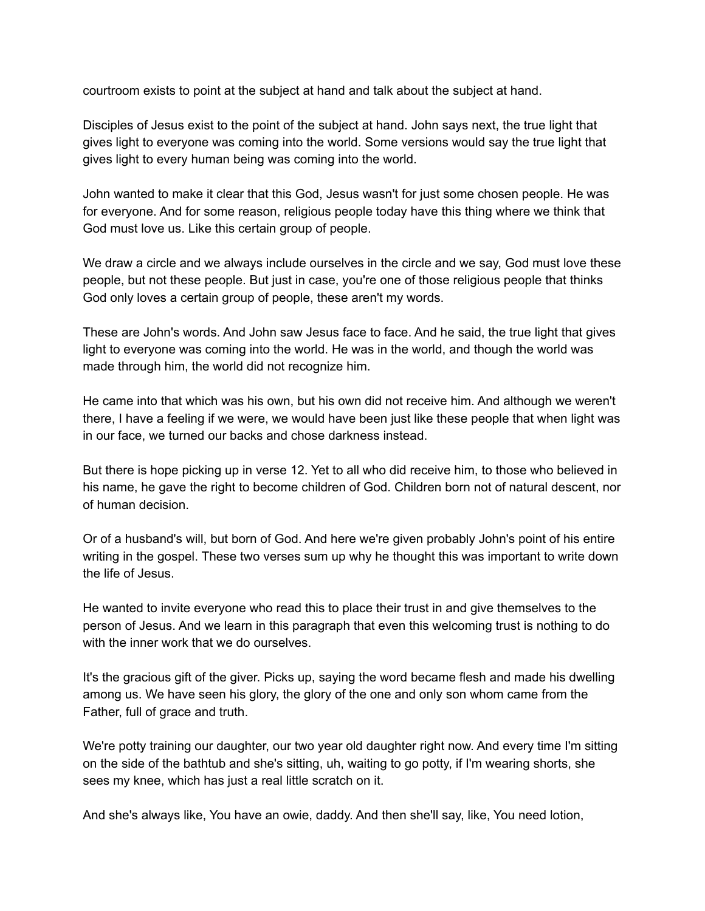courtroom exists to point at the subject at hand and talk about the subject at hand.

Disciples of Jesus exist to the point of the subject at hand. John says next, the true light that gives light to everyone was coming into the world. Some versions would say the true light that gives light to every human being was coming into the world.

John wanted to make it clear that this God, Jesus wasn't for just some chosen people. He was for everyone. And for some reason, religious people today have this thing where we think that God must love us. Like this certain group of people.

We draw a circle and we always include ourselves in the circle and we say, God must love these people, but not these people. But just in case, you're one of those religious people that thinks God only loves a certain group of people, these aren't my words.

These are John's words. And John saw Jesus face to face. And he said, the true light that gives light to everyone was coming into the world. He was in the world, and though the world was made through him, the world did not recognize him.

He came into that which was his own, but his own did not receive him. And although we weren't there, I have a feeling if we were, we would have been just like these people that when light was in our face, we turned our backs and chose darkness instead.

But there is hope picking up in verse 12. Yet to all who did receive him, to those who believed in his name, he gave the right to become children of God. Children born not of natural descent, nor of human decision.

Or of a husband's will, but born of God. And here we're given probably John's point of his entire writing in the gospel. These two verses sum up why he thought this was important to write down the life of Jesus.

He wanted to invite everyone who read this to place their trust in and give themselves to the person of Jesus. And we learn in this paragraph that even this welcoming trust is nothing to do with the inner work that we do ourselves.

It's the gracious gift of the giver. Picks up, saying the word became flesh and made his dwelling among us. We have seen his glory, the glory of the one and only son whom came from the Father, full of grace and truth.

We're potty training our daughter, our two year old daughter right now. And every time I'm sitting on the side of the bathtub and she's sitting, uh, waiting to go potty, if I'm wearing shorts, she sees my knee, which has just a real little scratch on it.

And she's always like, You have an owie, daddy. And then she'll say, like, You need lotion,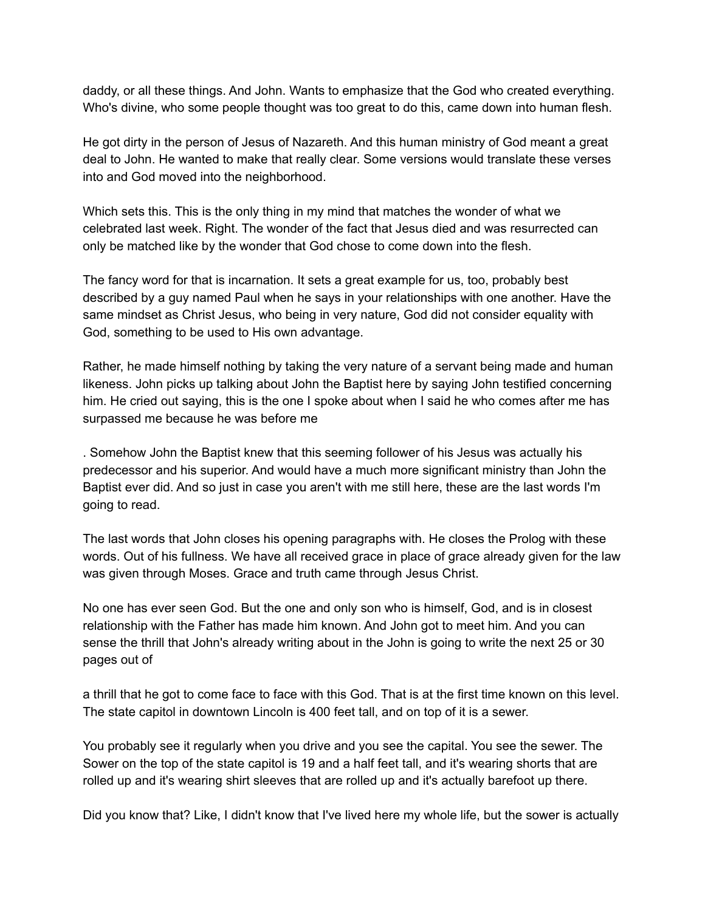daddy, or all these things. And John. Wants to emphasize that the God who created everything. Who's divine, who some people thought was too great to do this, came down into human flesh.

He got dirty in the person of Jesus of Nazareth. And this human ministry of God meant a great deal to John. He wanted to make that really clear. Some versions would translate these verses into and God moved into the neighborhood.

Which sets this. This is the only thing in my mind that matches the wonder of what we celebrated last week. Right. The wonder of the fact that Jesus died and was resurrected can only be matched like by the wonder that God chose to come down into the flesh.

The fancy word for that is incarnation. It sets a great example for us, too, probably best described by a guy named Paul when he says in your relationships with one another. Have the same mindset as Christ Jesus, who being in very nature, God did not consider equality with God, something to be used to His own advantage.

Rather, he made himself nothing by taking the very nature of a servant being made and human likeness. John picks up talking about John the Baptist here by saying John testified concerning him. He cried out saying, this is the one I spoke about when I said he who comes after me has surpassed me because he was before me

. Somehow John the Baptist knew that this seeming follower of his Jesus was actually his predecessor and his superior. And would have a much more significant ministry than John the Baptist ever did. And so just in case you aren't with me still here, these are the last words I'm going to read.

The last words that John closes his opening paragraphs with. He closes the Prolog with these words. Out of his fullness. We have all received grace in place of grace already given for the law was given through Moses. Grace and truth came through Jesus Christ.

No one has ever seen God. But the one and only son who is himself, God, and is in closest relationship with the Father has made him known. And John got to meet him. And you can sense the thrill that John's already writing about in the John is going to write the next 25 or 30 pages out of

a thrill that he got to come face to face with this God. That is at the first time known on this level. The state capitol in downtown Lincoln is 400 feet tall, and on top of it is a sewer.

You probably see it regularly when you drive and you see the capital. You see the sewer. The Sower on the top of the state capitol is 19 and a half feet tall, and it's wearing shorts that are rolled up and it's wearing shirt sleeves that are rolled up and it's actually barefoot up there.

Did you know that? Like, I didn't know that I've lived here my whole life, but the sower is actually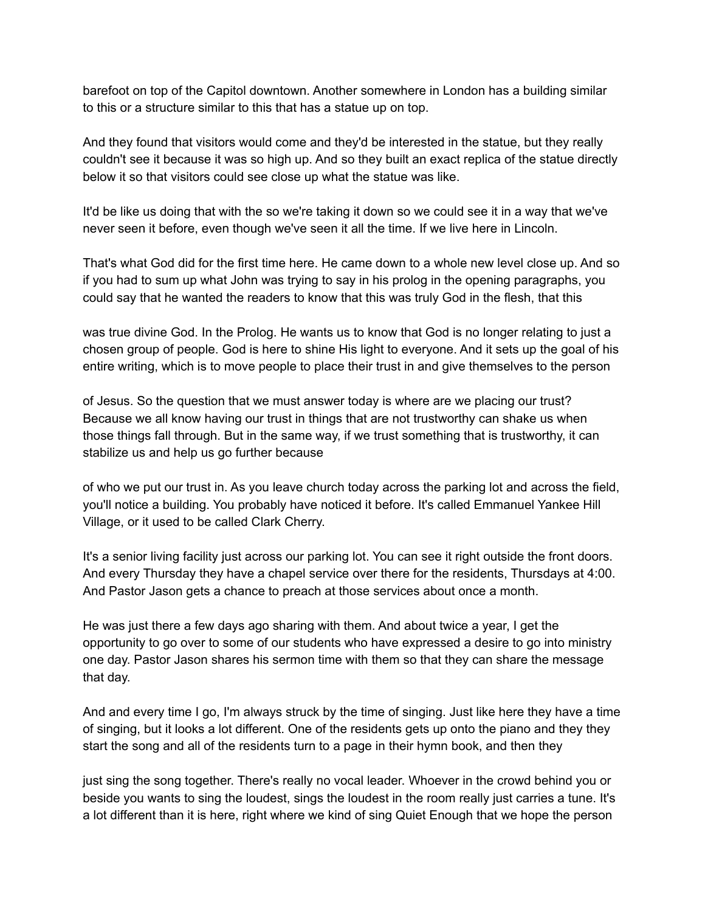barefoot on top of the Capitol downtown. Another somewhere in London has a building similar to this or a structure similar to this that has a statue up on top.

And they found that visitors would come and they'd be interested in the statue, but they really couldn't see it because it was so high up. And so they built an exact replica of the statue directly below it so that visitors could see close up what the statue was like.

It'd be like us doing that with the so we're taking it down so we could see it in a way that we've never seen it before, even though we've seen it all the time. If we live here in Lincoln.

That's what God did for the first time here. He came down to a whole new level close up. And so if you had to sum up what John was trying to say in his prolog in the opening paragraphs, you could say that he wanted the readers to know that this was truly God in the flesh, that this

was true divine God. In the Prolog. He wants us to know that God is no longer relating to just a chosen group of people. God is here to shine His light to everyone. And it sets up the goal of his entire writing, which is to move people to place their trust in and give themselves to the person

of Jesus. So the question that we must answer today is where are we placing our trust? Because we all know having our trust in things that are not trustworthy can shake us when those things fall through. But in the same way, if we trust something that is trustworthy, it can stabilize us and help us go further because

of who we put our trust in. As you leave church today across the parking lot and across the field, you'll notice a building. You probably have noticed it before. It's called Emmanuel Yankee Hill Village, or it used to be called Clark Cherry.

It's a senior living facility just across our parking lot. You can see it right outside the front doors. And every Thursday they have a chapel service over there for the residents, Thursdays at 4:00. And Pastor Jason gets a chance to preach at those services about once a month.

He was just there a few days ago sharing with them. And about twice a year, I get the opportunity to go over to some of our students who have expressed a desire to go into ministry one day. Pastor Jason shares his sermon time with them so that they can share the message that day.

And and every time I go, I'm always struck by the time of singing. Just like here they have a time of singing, but it looks a lot different. One of the residents gets up onto the piano and they they start the song and all of the residents turn to a page in their hymn book, and then they

just sing the song together. There's really no vocal leader. Whoever in the crowd behind you or beside you wants to sing the loudest, sings the loudest in the room really just carries a tune. It's a lot different than it is here, right where we kind of sing Quiet Enough that we hope the person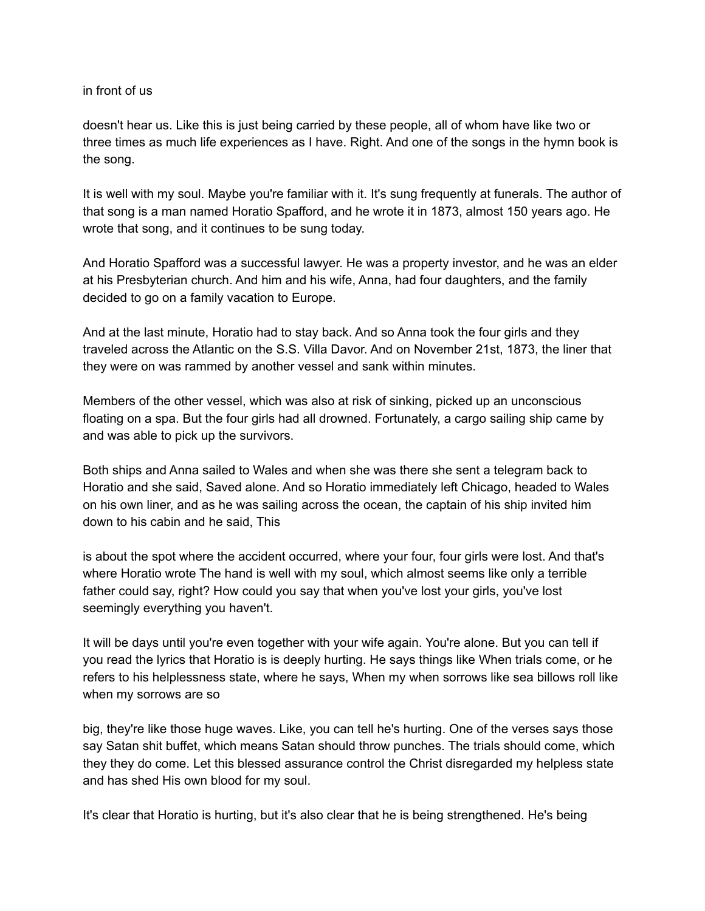in front of us

doesn't hear us. Like this is just being carried by these people, all of whom have like two or three times as much life experiences as I have. Right. And one of the songs in the hymn book is the song.

It is well with my soul. Maybe you're familiar with it. It's sung frequently at funerals. The author of that song is a man named Horatio Spafford, and he wrote it in 1873, almost 150 years ago. He wrote that song, and it continues to be sung today.

And Horatio Spafford was a successful lawyer. He was a property investor, and he was an elder at his Presbyterian church. And him and his wife, Anna, had four daughters, and the family decided to go on a family vacation to Europe.

And at the last minute, Horatio had to stay back. And so Anna took the four girls and they traveled across the Atlantic on the S.S. Villa Davor. And on November 21st, 1873, the liner that they were on was rammed by another vessel and sank within minutes.

Members of the other vessel, which was also at risk of sinking, picked up an unconscious floating on a spa. But the four girls had all drowned. Fortunately, a cargo sailing ship came by and was able to pick up the survivors.

Both ships and Anna sailed to Wales and when she was there she sent a telegram back to Horatio and she said, Saved alone. And so Horatio immediately left Chicago, headed to Wales on his own liner, and as he was sailing across the ocean, the captain of his ship invited him down to his cabin and he said, This

is about the spot where the accident occurred, where your four, four girls were lost. And that's where Horatio wrote The hand is well with my soul, which almost seems like only a terrible father could say, right? How could you say that when you've lost your girls, you've lost seemingly everything you haven't.

It will be days until you're even together with your wife again. You're alone. But you can tell if you read the lyrics that Horatio is is deeply hurting. He says things like When trials come, or he refers to his helplessness state, where he says, When my when sorrows like sea billows roll like when my sorrows are so

big, they're like those huge waves. Like, you can tell he's hurting. One of the verses says those say Satan shit buffet, which means Satan should throw punches. The trials should come, which they they do come. Let this blessed assurance control the Christ disregarded my helpless state and has shed His own blood for my soul.

It's clear that Horatio is hurting, but it's also clear that he is being strengthened. He's being